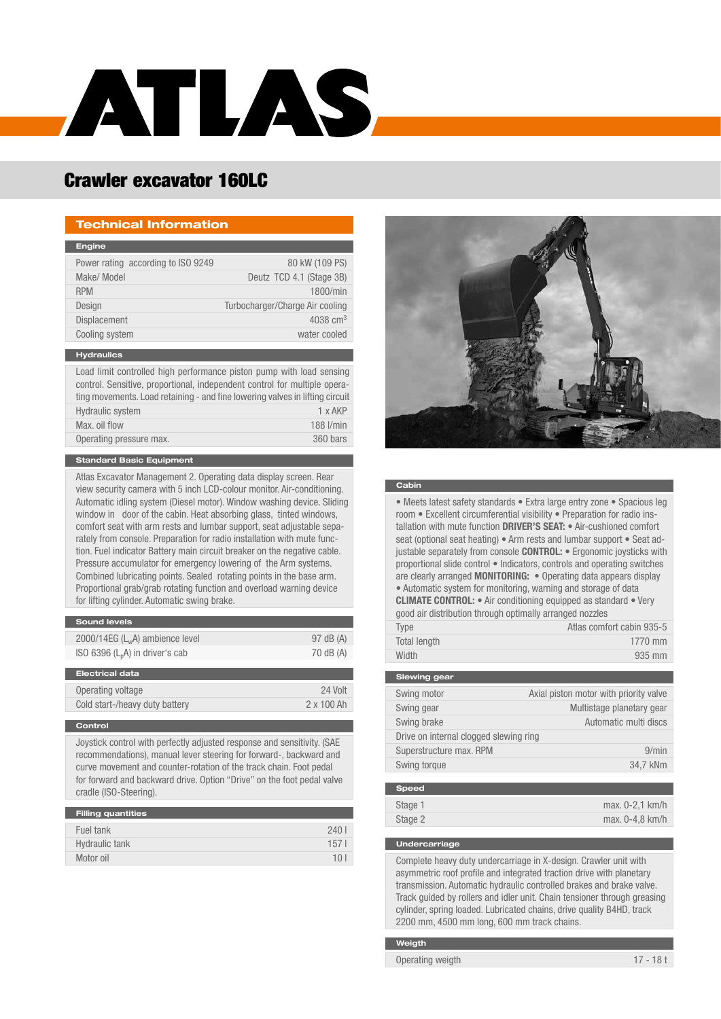

# Crawler excavator 160LC

### Technical Information

| <b>Engine</b>                                                                                                                                     |                                 |
|---------------------------------------------------------------------------------------------------------------------------------------------------|---------------------------------|
| Power rating according to ISO 9249                                                                                                                | 80 kW (109 PS)                  |
| Make/ Model                                                                                                                                       | Deutz TCD 4.1 (Stage 3B)        |
| <b>RPM</b>                                                                                                                                        | 1800/min                        |
| Design                                                                                                                                            | Turbocharger/Charge Air cooling |
| <b>Displacement</b>                                                                                                                               | 4038 $cm3$                      |
| Cooling system                                                                                                                                    | water cooled                    |
|                                                                                                                                                   |                                 |
| <b>Hydraulics</b>                                                                                                                                 |                                 |
| Load limit controlled high performance piston pump with load sensing<br>control. Sensitive, proportional, independent control for multiple opera- |                                 |

| Load limit controlled high performance piston pump with load sensing         |               |
|------------------------------------------------------------------------------|---------------|
| control. Sensitive, proportional, independent control for multiple opera-    |               |
| ting movements. Load retaining - and fine lowering valves in lifting circuit |               |
| <b>Hydraulic system</b>                                                      | 1 x AKP       |
| Max. oil flow                                                                | $188$ $l/min$ |
| Operating pressure max.                                                      | 360 bars      |
|                                                                              |               |

### Standard Basic Equipment

Atlas Excavator Management 2. Operating data display screen. Rear view security camera with 5 inch LCD-colour monitor. Air-conditioning. Automatic idling system (Diesel motor). Window washing device. Sliding window in door of the cabin. Heat absorbing glass, tinted windows, comfort seat with arm rests and lumbar support, seat adjustable separately from console. Preparation for radio installation with mute function. Fuel indicator Battery main circuit breaker on the negative cable. Pressure accumulator for emergency lowering of the Arm systems. Combined lubricating points. Sealed rotating points in the base arm. Proportional grab/grab rotating function and overload warning device for lifting cylinder. Automatic swing brake.

| <b>Sound levels</b>               |           |
|-----------------------------------|-----------|
| $2000/14EG(LwA)$ ambience level   | 97 dB (A) |
| ISO 6396 $(L_pA)$ in driver's cab | 70 dB (A) |
|                                   |           |
| <b>Electrical data</b>            |           |

| Operating voltage              | 24 Volt           |
|--------------------------------|-------------------|
| Cold start-/heavy duty battery | $2 \times 100$ Ah |
|                                |                   |

#### **Control**

Joystick control with perfectly adjusted response and sensitivity. (SAE recommendations), manual lever steering for forward-, backward and curve movement and counter-rotation of the track chain. Foot pedal for forward and backward drive. Option "Drive" on the foot pedal valve cradle (ISO-Steering).

| <b>Filling quantities</b> |                  |
|---------------------------|------------------|
| Fuel tank                 | 240              |
| Hydraulic tank            | 157 <sup>1</sup> |
| Motor oil                 | 10 <sup>1</sup>  |



#### **Cabin**

• Meets latest safety standards • Extra large entry zone • Spacious leg room • Excellent circumferential visibility • Preparation for radio installation with mute function **DRIVER'S SEAT:** • Air-cushioned comfort seat (optional seat heating) • Arm rests and lumbar support • Seat adjustable separately from console CONTROL: • Ergonomic joysticks with proportional slide control • Indicators, controls and operating switches are clearly arranged MONITORING: • Operating data appears display • Automatic system for monitoring, warning and storage of data CLIMATE CONTROL: • Air conditioning equipped as standard • Very good air distribution through optimally arranged nozzles

| Type         | Atlas comfort cabin 935-5 |
|--------------|---------------------------|
| Total length | $1770$ mm                 |
| Width        | 935 mm                    |

| <b>Slewing gear</b>                    |                                        |
|----------------------------------------|----------------------------------------|
| Swing motor                            | Axial piston motor with priority valve |
| Swing gear                             | Multistage planetary gear              |
| Swing brake                            | Automatic multi discs                  |
| Drive on internal clogged slewing ring |                                        |
| Superstructure max. RPM                | 9/min                                  |
| Swing torque                           | 34.7 kNm                               |
|                                        |                                        |

| <b>Speed</b> |                   |
|--------------|-------------------|
| Stage 1      | $max. 0-2.1 km/h$ |
| Stage 2      | $max. 0-4.8 km/h$ |

#### Undercarriage

Complete heavy duty undercarriage in X-design. Crawler unit with asymmetric roof profile and integrated traction drive with planetary transmission. Automatic hydraulic controlled brakes and brake valve. Track guided by rollers and idler unit. Chain tensioner through greasing cylinder, spring loaded. Lubricated chains, drive quality B4HD, track 2200 mm, 4500 mm long, 600 mm track chains.

### Weigth

Operating weigth 17 - 18 t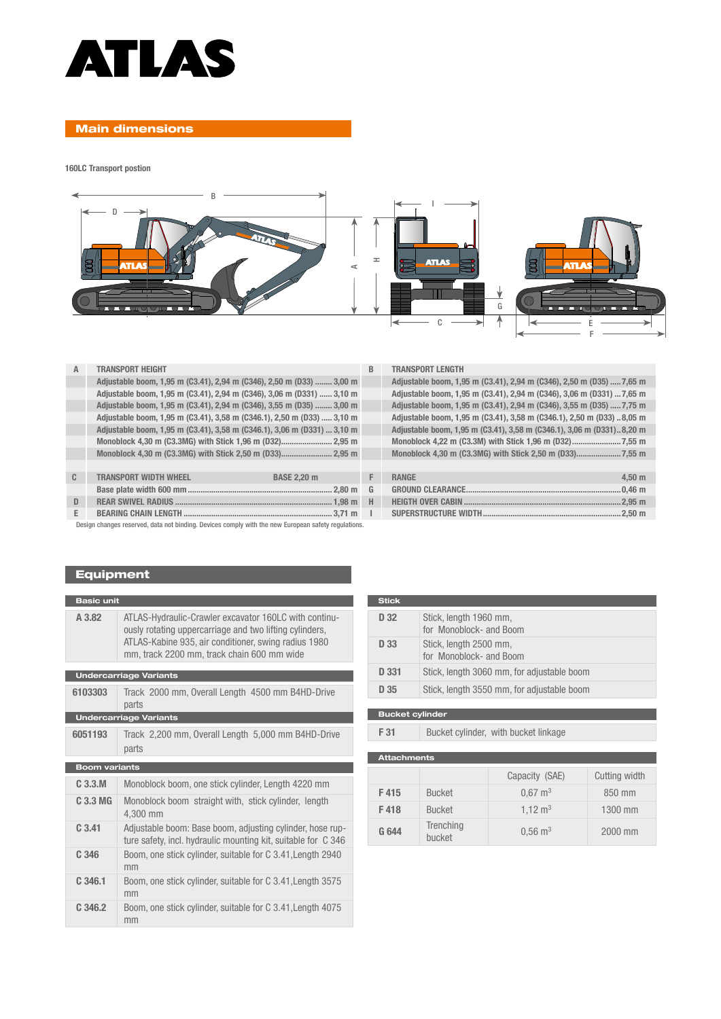

# Main dimensions

160LC Transport postion



| А            | <b>TRANSPORT HEIGHT</b>                                                 | B. | <b>TRANSPORT LENGTH</b>                                                |
|--------------|-------------------------------------------------------------------------|----|------------------------------------------------------------------------|
|              | Adjustable boom, 1,95 m (C3.41), 2,94 m (C346), 2,50 m (D33)  3,00 m    |    | Adjustable boom, 1,95 m (C3.41), 2,94 m (C346), 2,50 m (D35)  7,65 m   |
|              | Adjustable boom, 1,95 m (C3.41), 2,94 m (C346), 3,06 m (D331)  3,10 m   |    | Adjustable boom, 1,95 m (C3.41), 2,94 m (C346), 3,06 m (D331)  7,65 m  |
|              | Adjustable boom, 1,95 m (C3.41), 2,94 m (C346), 3,55 m (D35)  3,00 m    |    | Adjustable boom, 1,95 m (C3.41), 2,94 m (C346), 3,55 m (D35)  7,75 m   |
|              | Adjustable boom, 1,95 m (C3.41), 3,58 m (C346.1), 2,50 m (D33)  3,10 m  |    | Adjustable boom, 1,95 m (C3.41), 3,58 m (C346.1), 2,50 m (D33)  8,05 m |
|              | Adjustable boom, 1,95 m (C3.41), 3,58 m (C346.1), 3,06 m (D331)  3,10 m |    | Adjustable boom, 1,95 m (C3.41), 3,58 m (C346.1), 3,06 m (D331) 8,20 m |
|              |                                                                         |    |                                                                        |
|              |                                                                         |    |                                                                        |
|              |                                                                         |    |                                                                        |
| $\mathbb{C}$ | <b>TRANSPORT WIDTH WHEEL</b><br><b>BASE 2.20 m</b>                      | F. | $4.50$ m<br><b>RANGE</b>                                               |
|              |                                                                         | G  |                                                                        |
| D            |                                                                         | H  |                                                                        |
| E.           |                                                                         | п. |                                                                        |

| <b>TRANSPORT LENGTH</b>                                               |
|-----------------------------------------------------------------------|
| Adjustable boom, 1,95 m (C3.41), 2,94 m (C346), 2,50 m (D35)  7,65 m  |
| Adjustable boom, 1,95 m (C3.41), 2,94 m (C346), 3,06 m (D331)  7,65 m |
| Adjustable boom, 1,95 m (C3.41), 2,94 m (C346), 3,55 m (D35)  7,75 m  |
| Adjustable boom, 1,95 m (C3.41), 3,58 m (C346.1), 2,50 m (D33) 8,05 m |
| Adjustable boom, 1,95 m (C3.41), 3,58 m (C346.1), 3,06 m (D331)8,20 m |
|                                                                       |
|                                                                       |
|                                                                       |

| <b>RANGE</b> | 4.50 m |
|--------------|--------|
|              |        |
|              |        |
|              |        |

Design changes reserved, data not binding. Devices comply with the new European safety regulations.

# Equipment

| <b>Basic unit</b>    |                                                                                                                                                                                                                        |  |  |
|----------------------|------------------------------------------------------------------------------------------------------------------------------------------------------------------------------------------------------------------------|--|--|
| A 3.82               | ATLAS-Hydraulic-Crawler excavator 160LC with continu-<br>ously rotating uppercarriage and two lifting cylinders,<br>ATLAS-Kabine 935, air conditioner, swing radius 1980<br>mm, track 2200 mm, track chain 600 mm wide |  |  |
|                      | <b>Undercarriage Variants</b>                                                                                                                                                                                          |  |  |
| 6103303              | Track 2000 mm, Overall Length 4500 mm B4HD-Drive<br>parts                                                                                                                                                              |  |  |
|                      | <b>Undercarriage Variants</b>                                                                                                                                                                                          |  |  |
| 6051193              | Track 2,200 mm, Overall Length 5,000 mm B4HD-Drive<br>parts                                                                                                                                                            |  |  |
| <b>Boom variants</b> |                                                                                                                                                                                                                        |  |  |
| C.3.3.M              | Monoblock boom, one stick cylinder, Length 4220 mm                                                                                                                                                                     |  |  |
| $C.3.3 M$ G          | Monoblock boom straight with, stick cylinder, length<br>4.300 mm                                                                                                                                                       |  |  |
| C.3.41               | Adjustable boom: Base boom, adjusting cylinder, hose rup-<br>ture safety, incl. hydraulic mounting kit, suitable for C 346                                                                                             |  |  |
| C.346                | Boom, one stick cylinder, suitable for C 3.41, Length 2940<br>mm                                                                                                                                                       |  |  |
| C.346.1              | Boom, one stick cylinder, suitable for C 3.41, Length 3575<br>mm                                                                                                                                                       |  |  |
| C.346.2              | Boom, one stick cylinder, suitable for C 3.41, Length 4075<br>mm                                                                                                                                                       |  |  |

| <b>Stick</b> |                                                   |
|--------------|---------------------------------------------------|
| D 32         | Stick, length 1960 mm,<br>for Monoblock- and Boom |
| D 33         | Stick, length 2500 mm,<br>for Monoblock- and Boom |
| D 331        | Stick, length 3060 mm, for adjustable boom        |
| D 35         | Stick, length 3550 mm, for adjustable boom        |
|              |                                                   |

Bucket cylinder

F 31 Bucket cylinder, with bucket linkage

| <b>Attachments</b> |                            |                        |               |  |  |  |  |  |  |  |  |  |
|--------------------|----------------------------|------------------------|---------------|--|--|--|--|--|--|--|--|--|
|                    |                            | Capacity (SAE)         | Cutting width |  |  |  |  |  |  |  |  |  |
| F415               | <b>Bucket</b>              | $0.67 \text{ m}^3$     | 850 mm        |  |  |  |  |  |  |  |  |  |
| F418               | <b>Bucket</b>              | $1.12 \text{ m}^3$     | 1300 mm       |  |  |  |  |  |  |  |  |  |
| G 644              | <b>Trenching</b><br>bucket | $0.56 \; \mathrm{m}^3$ | 2000 mm       |  |  |  |  |  |  |  |  |  |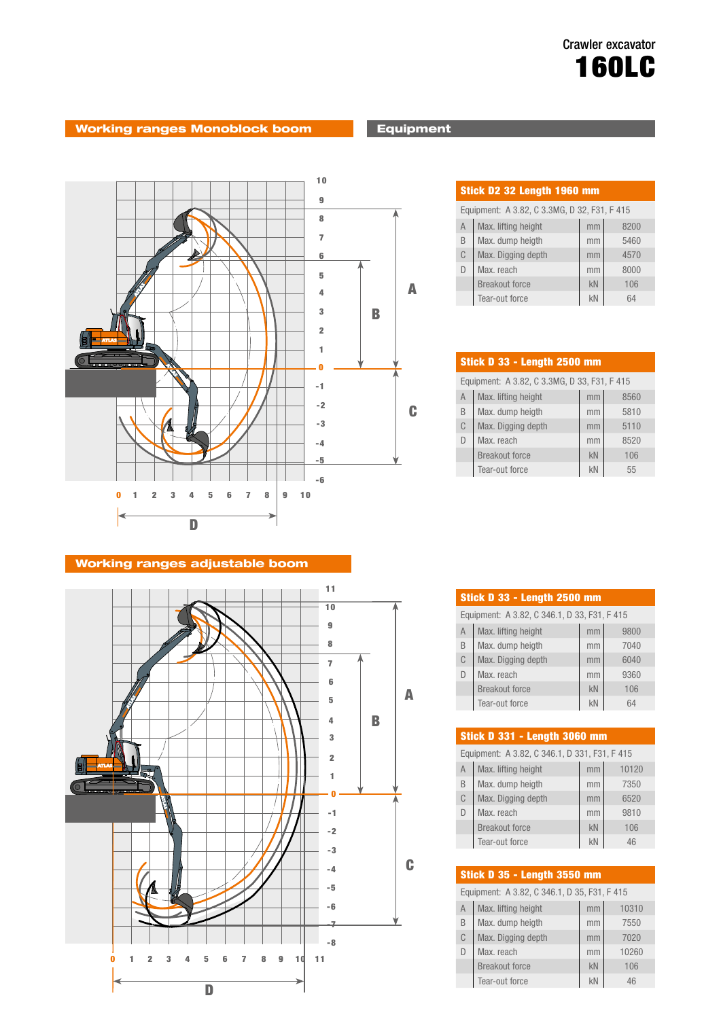# Working ranges Monoblock boom **Equipment**



## Working ranges adjustable boom



| Stick D2 32 Length 1960 mm                   |                       |    |      |  |  |  |  |  |  |  |  |
|----------------------------------------------|-----------------------|----|------|--|--|--|--|--|--|--|--|
| Equipment: A 3.82, C 3.3MG, D 32, F31, F 415 |                       |    |      |  |  |  |  |  |  |  |  |
| $\overline{A}$                               | Max. lifting height   | mm | 8200 |  |  |  |  |  |  |  |  |
| B                                            | Max. dump heigth      | mm | 5460 |  |  |  |  |  |  |  |  |
| C                                            | Max. Digging depth    | mm | 4570 |  |  |  |  |  |  |  |  |
| $\Box$                                       | Max. reach            | mm | 8000 |  |  |  |  |  |  |  |  |
|                                              | <b>Breakout force</b> | kN | 106  |  |  |  |  |  |  |  |  |
|                                              | Tear-out force        | kN | 64   |  |  |  |  |  |  |  |  |

| Stick D 33 - Length 2500 mm                  |                       |    |      |  |  |  |  |  |  |  |
|----------------------------------------------|-----------------------|----|------|--|--|--|--|--|--|--|
| Equipment: A 3.82, C 3.3MG, D 33, F31, F 415 |                       |    |      |  |  |  |  |  |  |  |
| $\overline{A}$                               | Max. lifting height   | mm | 8560 |  |  |  |  |  |  |  |
| B                                            | Max. dump heigth      | mm | 5810 |  |  |  |  |  |  |  |
| C                                            | Max. Digging depth    | mm | 5110 |  |  |  |  |  |  |  |
| D                                            | Max. reach            | mm | 8520 |  |  |  |  |  |  |  |
|                                              | <b>Breakout force</b> | kN | 106  |  |  |  |  |  |  |  |
|                                              | Tear-out force        | kN | 55   |  |  |  |  |  |  |  |

| <b>Stick D 33 - Length 2500 mm</b>           |                       |    |      |  |  |  |  |  |  |  |
|----------------------------------------------|-----------------------|----|------|--|--|--|--|--|--|--|
| Equipment: A 3.82, C 346.1, D 33, F31, F 415 |                       |    |      |  |  |  |  |  |  |  |
| A                                            | Max. lifting height   | mm | 9800 |  |  |  |  |  |  |  |
| B                                            | Max. dump heigth      | mm | 7040 |  |  |  |  |  |  |  |
| C                                            | Max. Digging depth    | mm | 6040 |  |  |  |  |  |  |  |
| D                                            | Max. reach            | mm | 9360 |  |  |  |  |  |  |  |
|                                              | <b>Breakout force</b> | kN | 106  |  |  |  |  |  |  |  |
|                                              | Tear-out force        | kN | 64   |  |  |  |  |  |  |  |

| <b>Stick D 331 - Length 3060 mm</b>           |                       |    |       |  |  |  |  |  |  |  |  |
|-----------------------------------------------|-----------------------|----|-------|--|--|--|--|--|--|--|--|
| Equipment: A 3.82, C 346.1, D 331, F31, F 415 |                       |    |       |  |  |  |  |  |  |  |  |
| $\overline{A}$                                | Max. lifting height   | mm | 10120 |  |  |  |  |  |  |  |  |
| <sub>B</sub>                                  | Max. dump heigth      | mm | 7350  |  |  |  |  |  |  |  |  |
| C                                             | Max. Digging depth    | mm | 6520  |  |  |  |  |  |  |  |  |
| $\Box$                                        | Max. reach            | mm | 9810  |  |  |  |  |  |  |  |  |
|                                               | <b>Breakout force</b> | kN | 106   |  |  |  |  |  |  |  |  |
|                                               | Tear-out force        | kN | 46    |  |  |  |  |  |  |  |  |
|                                               |                       |    |       |  |  |  |  |  |  |  |  |

| <b>Stick D 35 - Length 3550 mm</b>           |                       |    |       |  |  |  |  |  |  |  |  |
|----------------------------------------------|-----------------------|----|-------|--|--|--|--|--|--|--|--|
| Equipment: A 3.82, C 346.1, D 35, F31, F 415 |                       |    |       |  |  |  |  |  |  |  |  |
| A                                            | Max. lifting height   | mm | 10310 |  |  |  |  |  |  |  |  |
| B                                            | Max. dump heigth      | mm | 7550  |  |  |  |  |  |  |  |  |
| C                                            | Max. Digging depth    | mm | 7020  |  |  |  |  |  |  |  |  |
| D                                            | Max. reach            | mm | 10260 |  |  |  |  |  |  |  |  |
|                                              | <b>Breakout force</b> | kN | 106   |  |  |  |  |  |  |  |  |
|                                              | Tear-out force        | kN | 46    |  |  |  |  |  |  |  |  |
|                                              |                       |    |       |  |  |  |  |  |  |  |  |